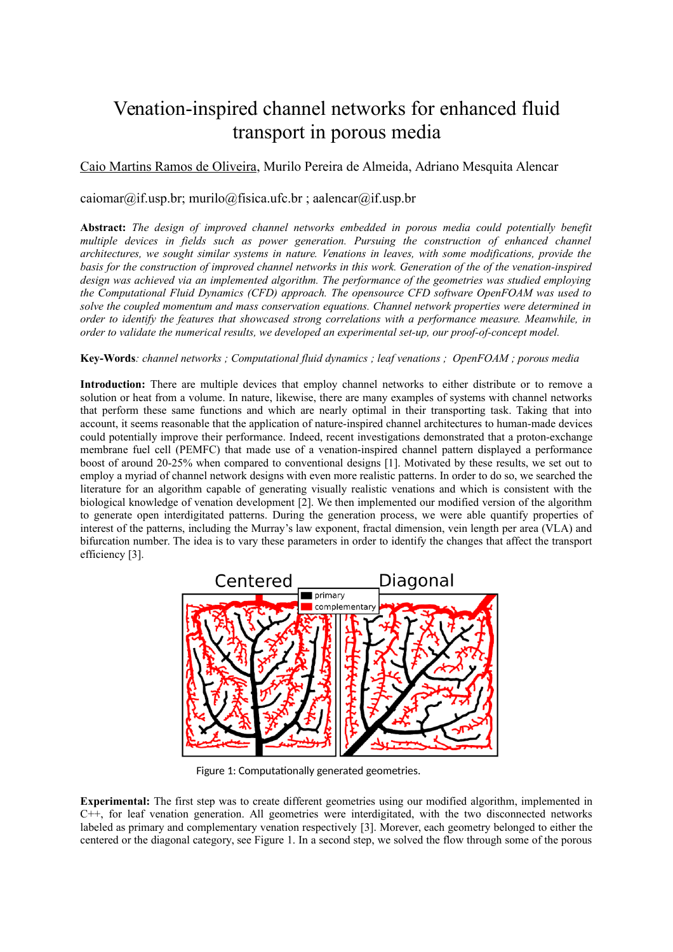# Venation-inspired channel networks for enhanced fluid transport in porous media

## Caio Martins Ramos de Oliveira, Murilo Pereira de Almeida, Adriano Mesquita Alencar

### caiomar@if.usp.br; murilo@fisica.ufc.br; aalencar@if.usp.br

**Abstract:** *The design of improved channel networks embedded in porous media could potentially benefit multiple devices in fields such as power generation. Pursuing the construction of enhanced channel architectures, we sought similar systems in nature. Venations in leaves, with some modifications, provide the basis for the construction of improved channel networks in this work. Generation of the of the venation-inspired design was achieved via an implemented algorithm. The performance of the geometries was studied employing the Computational Fluid Dynamics (CFD) approach. The opensource CFD software OpenFOAM was used to solve the coupled momentum and mass conservation equations. Channel network properties were determined in order to identify the features that showcased strong correlations with a performance measure. Meanwhile, in order to validate the numerical results, we developed an experimental set-up, our proof-of-concept model.*

#### **Key-Words***: channel networks ; Computational fluid dynamics ; leaf venations ; OpenFOAM ; porous media*

**Introduction:** There are multiple devices that employ channel networks to either distribute or to remove a solution or heat from a volume. In nature, likewise, there are many examples of systems with channel networks that perform these same functions and which are nearly optimal in their transporting task. Taking that into account, it seems reasonable that the application of nature-inspired channel architectures to human-made devices could potentially improve their performance. Indeed, recent investigations demonstrated that a proton-exchange membrane fuel cell (PEMFC) that made use of a venation-inspired channel pattern displayed a performance boost of around 20-25% when compared to conventional designs [1]. Motivated by these results, we set out to employ a myriad of channel network designs with even more realistic patterns. In order to do so, we searched the literature for an algorithm capable of generating visually realistic venations and which is consistent with the biological knowledge of venation development [2]. We then implemented our modified version of the algorithm to generate open interdigitated patterns. During the generation process, we were able quantify properties of interest of the patterns, including the Murray's law exponent, fractal dimension, vein length per area (VLA) and bifurcation number. The idea is to vary these parameters in order to identify the changes that affect the transport efficiency [3].



Figure 1: Computationally generated geometries.

**Experimental:** The first step was to create different geometries using our modified algorithm, implemented in C++, for leaf venation generation. All geometries were interdigitated, with the two disconnected networks labeled as primary and complementary venation respectively [3]. Morever, each geometry belonged to either the centered or the diagonal category, see Figure 1. In a second step, we solved the flow through some of the porous